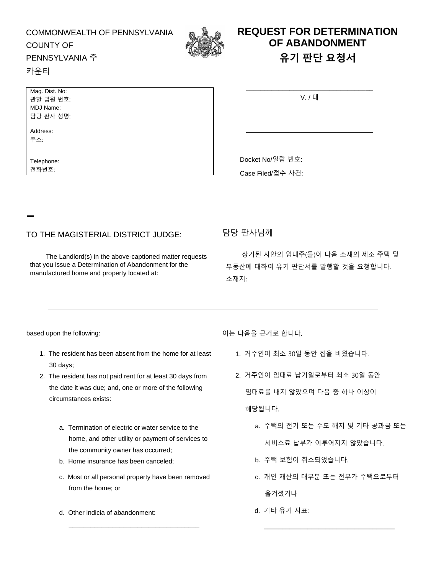#### COMMONWEALTH OF PENNSYLVANIA COUNTY OF



# **REQUEST FOR DETERMINATION OF ABANDONMENT 유기 판단 요청서**

## PENNSYLVANIA 주

#### 카운티

| Mag. Dist. No: |  |  |  |
|----------------|--|--|--|
| 관할 법원 번호:      |  |  |  |
| MDJ Name:      |  |  |  |
| 담당 판사 성명:      |  |  |  |

Address: 주소:

Telephone: 전화번호:

| V/I |  |
|-----|--|

\_\_\_\_\_\_\_\_\_\_\_\_\_\_\_\_\_\_\_\_\_\_\_\_\_\_\_\_\_\_\_\_\_\_\_

Docket No/일람 번호:

Case Filed/접수 사건:

### TO THE MAGISTERIAL DISTRICT JUDGE: 담당 판사님께

The Landlord(s) in the above-captioned matter requests that you issue a Determination of Abandonment for the manufactured home and property located at:

상기된 사안의 임대주(들)이 다음 소재의 제조 주택 및 부동산에 대하여 유기 판단서를 발행할 것을 요청합니다. 소재지:

- 1. The resident has been absent from the home for at least 30 days;
- 2. The resident has not paid rent for at least 30 days from the date it was due; and, one or more of the following circumstances exists:
	- a. Termination of electric or water service to the home, and other utility or payment of services to the community owner has occurred;
	- b. Home insurance has been canceled;
	- c. Most or all personal property have been removed from the home; or

\_\_\_\_\_\_\_\_\_\_\_\_\_\_\_\_\_\_\_\_\_\_\_\_\_\_\_\_\_\_\_\_\_\_\_\_

d. Other indicia of abandonment:

based upon the following: https://www.fassed.upon.the following: http://www.fassed.upon.the.info.up/

- 1. 거주인이 최소 30일 동안 집을 비웠습니다.
- 2. 거주인이 임대료 납기일로부터 최소 30일 동안 임대료를 내지 않았으며 다음 중 하나 이상이 해당됩니다.
	- a. 주택의 전기 또는 수도 해지 및 기타 공과금 또는 서비스료 납부가 이루어지지 않았습니다.
	- b. 주택 보험이 취소되었습니다.
	- c. 개인 재산의 대부분 또는 전부가 주택으로부터 옮겨졌거나

\_\_\_\_\_\_\_\_\_\_\_\_\_\_\_\_\_\_\_\_\_\_\_\_\_\_\_\_\_\_\_\_\_\_\_\_

d. 기타 유기 지표: